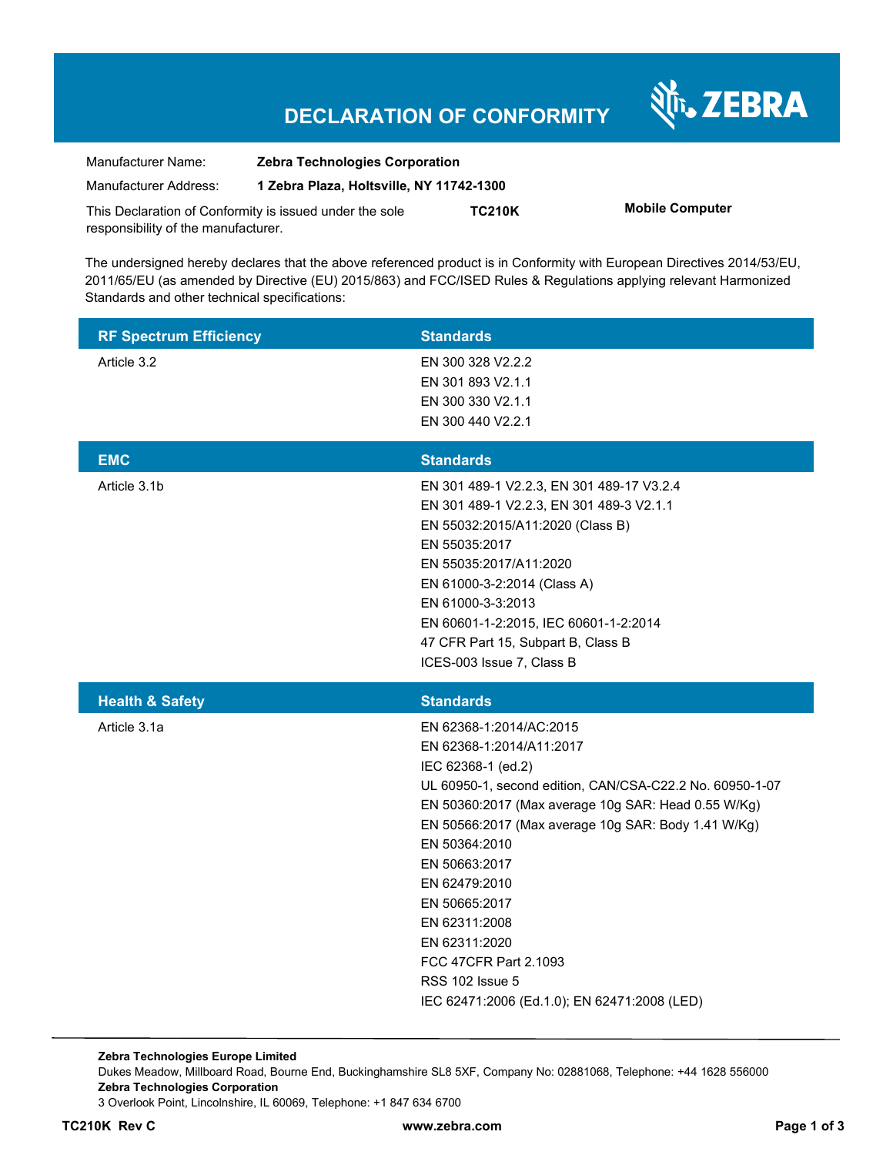Nr. ZEBRA

| Manufacturer Name:                  | <b>Zebra Technologies Corporation</b>                   |               |                        |
|-------------------------------------|---------------------------------------------------------|---------------|------------------------|
| Manufacturer Address:               | 1 Zebra Plaza, Holtsville, NY 11742-1300                |               |                        |
|                                     | This Declaration of Conformity is issued under the sole | <b>TC210K</b> | <b>Mobile Computer</b> |
| responsibility of the manufacturer. |                                                         |               |                        |

The undersigned hereby declares that the above referenced product is in Conformity with European Directives 2014/53/EU, 2011/65/EU (as amended by Directive (EU) 2015/863) and FCC/ISED Rules & Regulations applying relevant Harmonized Standards and other technical specifications:

| <b>RF Spectrum Efficiency</b> | <b>Standards</b>                                                                                                                                                                                                                                                                                                                                                                                                                                             |
|-------------------------------|--------------------------------------------------------------------------------------------------------------------------------------------------------------------------------------------------------------------------------------------------------------------------------------------------------------------------------------------------------------------------------------------------------------------------------------------------------------|
| Article 3.2                   | EN 300 328 V2.2.2<br>EN 301 893 V2.1.1<br>EN 300 330 V2.1.1                                                                                                                                                                                                                                                                                                                                                                                                  |
|                               | EN 300 440 V2.2.1                                                                                                                                                                                                                                                                                                                                                                                                                                            |
| <b>EMC</b>                    | <b>Standards</b>                                                                                                                                                                                                                                                                                                                                                                                                                                             |
| Article 3.1b                  | EN 301 489-1 V2.2.3, EN 301 489-17 V3.2.4<br>EN 301 489-1 V2.2.3, EN 301 489-3 V2.1.1<br>EN 55032:2015/A11:2020 (Class B)<br>EN 55035:2017<br>EN 55035:2017/A11:2020<br>EN 61000-3-2:2014 (Class A)<br>EN 61000-3-3:2013<br>EN 60601-1-2:2015, IEC 60601-1-2:2014<br>47 CFR Part 15, Subpart B, Class B<br>ICES-003 Issue 7, Class B                                                                                                                         |
| <b>Health &amp; Safety</b>    | <b>Standards</b>                                                                                                                                                                                                                                                                                                                                                                                                                                             |
| Article 3.1a                  | EN 62368-1:2014/AC:2015<br>EN 62368-1:2014/A11:2017<br>IEC 62368-1 (ed.2)<br>UL 60950-1, second edition, CAN/CSA-C22.2 No. 60950-1-07<br>EN 50360:2017 (Max average 10g SAR: Head 0.55 W/Kg)<br>EN 50566:2017 (Max average 10g SAR: Body 1.41 W/Kg)<br>EN 50364:2010<br>EN 50663:2017<br>EN 62479:2010<br>EN 50665:2017<br>EN 62311:2008<br>EN 62311:2020<br>FCC 47CFR Part 2.1093<br><b>RSS 102 Issue 5</b><br>IEC 62471:2006 (Ed.1.0); EN 62471:2008 (LED) |

**Zebra Technologies Europe Limited**  Dukes Meadow, Millboard Road, Bourne End, Buckinghamshire SL8 5XF, Company No: 02881068, Telephone: +44 1628 556000 **Zebra Technologies Corporation**  3 Overlook Point, Lincolnshire, IL 60069, Telephone: +1 847 634 6700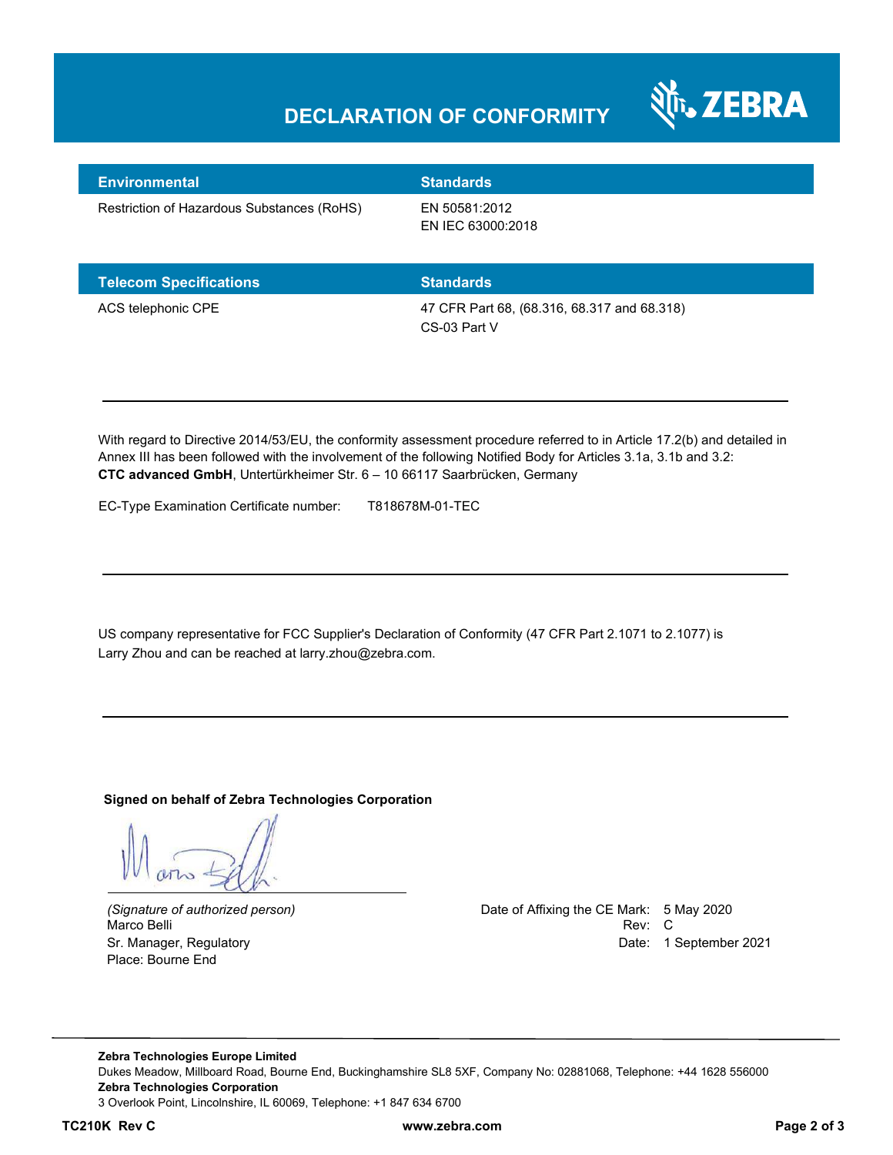

| <b>Environmental</b>                       | <b>Standards</b>                   |
|--------------------------------------------|------------------------------------|
| Restriction of Hazardous Substances (RoHS) | EN 50581:2012<br>EN IEC 63000:2018 |

| <b>Telecom Specifications</b> | <b>Standards</b>                                            |
|-------------------------------|-------------------------------------------------------------|
| ACS telephonic CPE            | 47 CFR Part 68, (68.316, 68.317 and 68.318)<br>CS-03 Part V |

With regard to Directive 2014/53/EU, the conformity assessment procedure referred to in Article 17.2(b) and detailed in Annex III has been followed with the involvement of the following Notified Body for Articles 3.1a, 3.1b and 3.2: **CTC advanced GmbH**, Untertürkheimer Str. 6 – 10 66117 Saarbrücken, Germany

EC-Type Examination Certificate number: T818678M-01-TEC

US company representative for FCC Supplier's Declaration of Conformity (47 CFR Part 2.1071 to 2.1077) is Larry Zhou and can be reached at larry.zhou@zebra.com.

#### **Signed on behalf of Zebra Technologies Corporation**

Place: Bourne End

*(Signature of authorized person)* Date of Affixing the CE Mark: 5 May 2020 Marco Belli Rev: Compared to the control of the control of the control of the control of the control of the control of the control of the control of the control of the control of the control of the control of the control o Sr. Manager, Regulatory Date: 1 September 2021

**Zebra Technologies Europe Limited**  Dukes Meadow, Millboard Road, Bourne End, Buckinghamshire SL8 5XF, Company No: 02881068, Telephone: +44 1628 556000 **Zebra Technologies Corporation**  3 Overlook Point, Lincolnshire, IL 60069, Telephone: +1 847 634 6700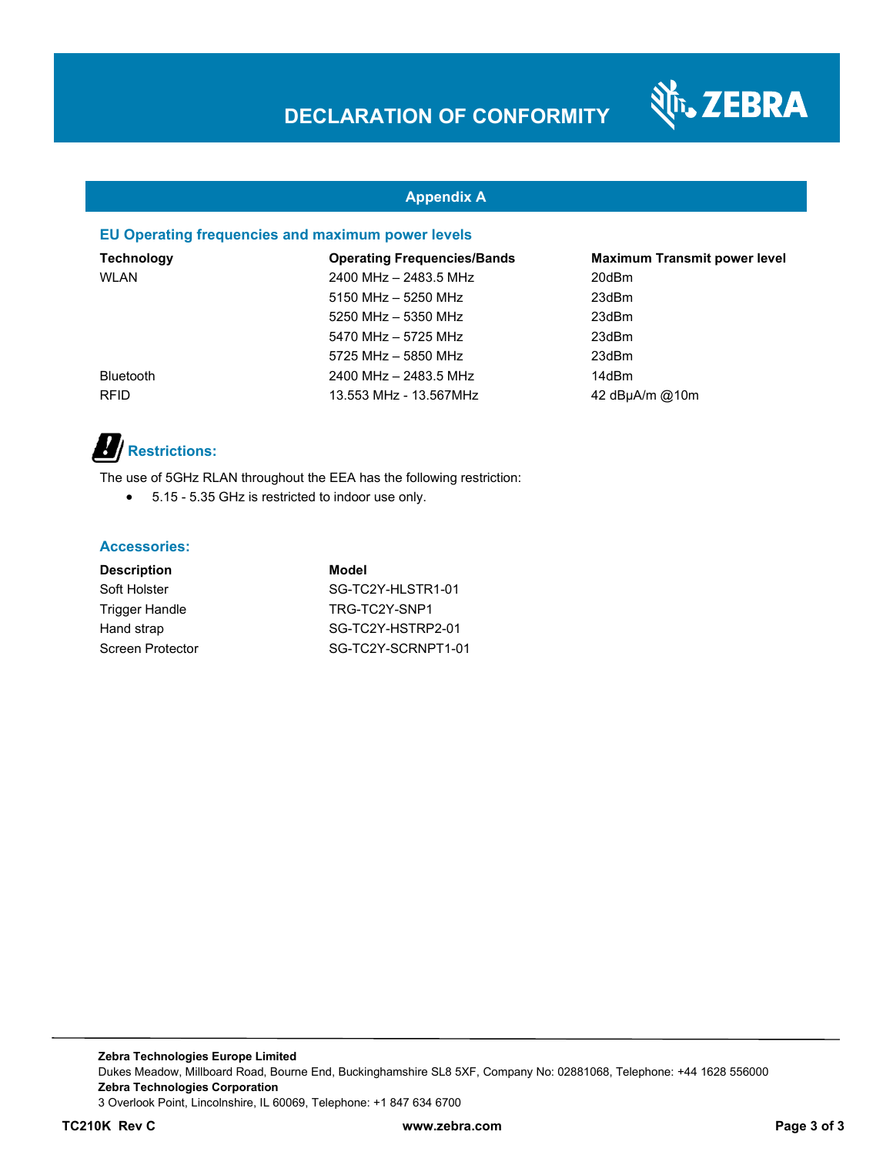

#### **Appendix A**

#### **EU Operating frequencies and maximum power levels**

| Technology       | <b>Operating Frequencies/Bands</b> | <b>Maximum Transmit power level</b> |
|------------------|------------------------------------|-------------------------------------|
| WLAN             | 2400 MHz - 2483.5 MHz              | 20dBm                               |
|                  | $5150$ MHz $-$ 5250 MHz            | 23dBm                               |
|                  | 5250 MHz - 5350 MHz                | 23dBm                               |
|                  | 5470 MHz - 5725 MHz                | 23dBm                               |
|                  | 5725 MHz - 5850 MHz                | 23dBm                               |
| <b>Bluetooth</b> | 2400 MHz - 2483.5 MHz              | 14dBm                               |
| <b>RFID</b>      | 13.553 MHz - 13.567MHz             | 42 dBuA/m @10m                      |

# *B* Restrictions:

The use of 5GHz RLAN throughout the EEA has the following restriction:

5.15 - 5.35 GHz is restricted to indoor use only.

#### **Accessories:**

| <b>Description</b> | Model              |
|--------------------|--------------------|
| Soft Holster       | SG-TC2Y-HLSTR1-01  |
| Trigger Handle     | TRG-TC2Y-SNP1      |
| Hand strap         | SG-TC2Y-HSTRP2-01  |
| Screen Protector   | SG-TC2Y-SCRNPT1-01 |

**Zebra Technologies Europe Limited**  Dukes Meadow, Millboard Road, Bourne End, Buckinghamshire SL8 5XF, Company No: 02881068, Telephone: +44 1628 556000 **Zebra Technologies Corporation**  3 Overlook Point, Lincolnshire, IL 60069, Telephone: +1 847 634 6700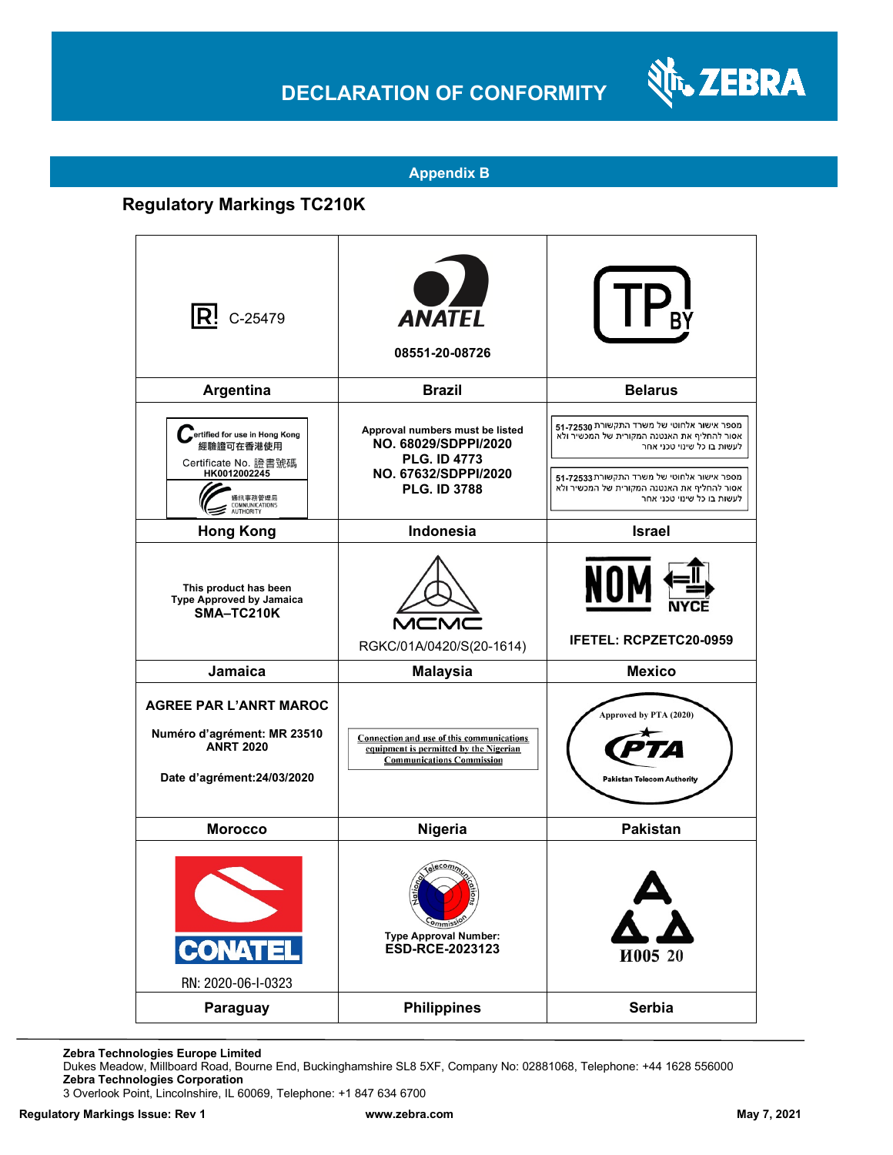

#### **Appendix B**

### **Regulatory Markings TC210K**

| $ {\bf R}$ ! C-25479                                                                                                                | <b>ANATEL</b><br>08551-20-08726                                                                                               |                                                                                                                                                                                                                                                    |
|-------------------------------------------------------------------------------------------------------------------------------------|-------------------------------------------------------------------------------------------------------------------------------|----------------------------------------------------------------------------------------------------------------------------------------------------------------------------------------------------------------------------------------------------|
| Argentina                                                                                                                           | <b>Brazil</b>                                                                                                                 | <b>Belarus</b>                                                                                                                                                                                                                                     |
| ertified for use in Hong Kong<br>經驗證可在香港使用<br>Certificate No. 證書號碼<br>HK0012002245<br>通訊事務管理局<br>COMMUNICATIONS<br><b>AUTHORITY</b> | Approval numbers must be listed<br>NO. 68029/SDPPI/2020<br><b>PLG. ID 4773</b><br>NO. 67632/SDPPI/2020<br><b>PLG. ID 3788</b> | מספר אישור אלחוטי של משרד התקשורת 51-72530<br>אסור להחליף את האנטנה המקורית של המכשיר ולא<br>לעשות בו כל שינוי טכני אחר<br>מספר אישור אלחוטי של משרד התקשורת 72533-51<br>אסור להחליף את האנטנה המקורית של המכשיר ולא<br>לעשות בו כל שינוי טכני אחר |
| <b>Hong Kong</b>                                                                                                                    | <b>Indonesia</b>                                                                                                              | <b>Israel</b>                                                                                                                                                                                                                                      |
| This product has been<br>Type Approved by Jamaica<br>SMA-TC210K                                                                     | RGKC/01A/0420/S(20-1614)                                                                                                      | NOI<br><b>IFETEL: RCPZETC20-0959</b>                                                                                                                                                                                                               |
| Jamaica                                                                                                                             | <b>Malaysia</b>                                                                                                               | <b>Mexico</b>                                                                                                                                                                                                                                      |
| <b>AGREE PAR L'ANRT MAROC</b><br>Numéro d'agrément: MR 23510<br><b>ANRT 2020</b><br>Date d'agrément: 24/03/2020                     | Connection and use of this communications<br>equipment is permitted by the Nigerian<br><b>Communications Commission</b>       | Approved by PTA (2020)<br><b>Pakistan Telecom Authority</b>                                                                                                                                                                                        |
| <b>Morocco</b>                                                                                                                      | Nigeria                                                                                                                       | <b>Pakistan</b>                                                                                                                                                                                                                                    |
| <b>CONATEL</b><br>RN: 2020-06-I-0323                                                                                                | 힞<br><b>Ons</b><br>$-ommis$<br><b>Type Approval Number:</b><br>ESD-RCE-2023123                                                | И005 20                                                                                                                                                                                                                                            |
| Paraguay                                                                                                                            | <b>Philippines</b>                                                                                                            | Serbia                                                                                                                                                                                                                                             |

**Zebra Technologies Europe Limited**

Dukes Meadow, Millboard Road, Bourne End, Buckinghamshire SL8 5XF, Company No: 02881068, Telephone: +44 1628 556000 **Zebra Technologies Corporation** 

3 Overlook Point, Lincolnshire, IL 60069, Telephone: +1 847 634 6700